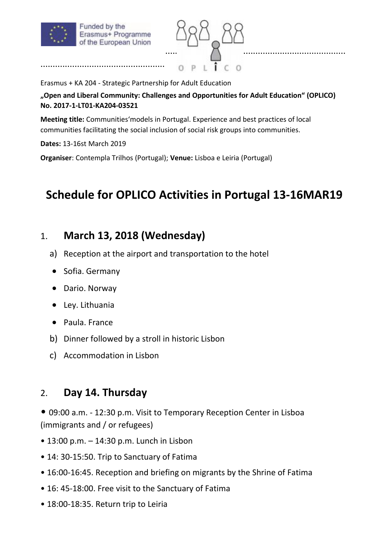

...................................................



Erasmus + KA 204 - Strategic Partnership for Adult Education

**"Open and Liberal Community: Challenges and Opportunities for Adult Education" (OPLICO) No. 2017-1-LT01-KA204-03521** 

**Meeting title:** Communities'models in Portugal. Experience and best practices of local communities facilitating the social inclusion of social risk groups into communities.

**Dates:** 13-16st March 2019

**Organiser**: Contempla Trilhos (Portugal); **Venue:** Lisboa e Leiria (Portugal)

# **Schedule for OPLICO Activities in Portugal 13-16MAR19**

### 1. **March 13, 2018 (Wednesday)**

- a) Reception at the airport and transportation to the hotel
- Sofia. Germany
- Dario. Norway
- Ley. Lithuania
- Paula. France
- b) Dinner followed by a stroll in historic Lisbon
- c) Accommodation in Lisbon

### 2. **Day 14. Thursday**

- 09:00 a.m. 12:30 p.m. Visit to Temporary Reception Center in Lisboa (immigrants and / or refugees)
- 13:00 p.m. 14:30 p.m. Lunch in Lisbon
- 14: 30-15:50. Trip to Sanctuary of Fatima
- 16:00-16:45. Reception and briefing on migrants by the Shrine of Fatima
- 16: 45-18:00. Free visit to the Sanctuary of Fatima
- 18:00-18:35. Return trip to Leiria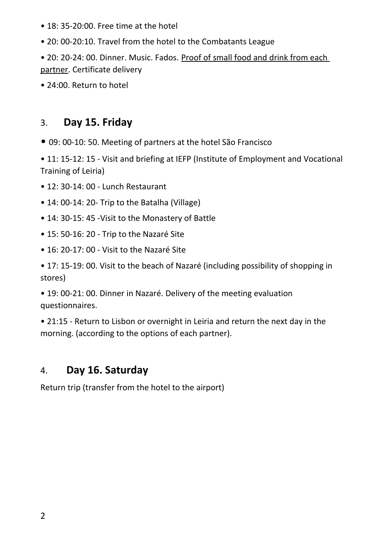- 18: 35-20:00. Free time at the hotel
- 20: 00-20:10. Travel from the hotel to the Combatants League
- 20: 20-24: 00. Dinner. Music. Fados. Proof of small food and drink from each partner. Certificate delivery
- 24:00. Return to hotel

## 3. **Day 15. Friday**

• 09: 00-10: 50. Meeting of partners at the hotel São Francisco

• 11: 15-12: 15 - Visit and briefing at IEFP (Institute of Employment and Vocational Training of Leiria)

- 12: 30-14: 00 Lunch Restaurant
- 14: 00-14: 20- Trip to the Batalha (Village)
- 14: 30-15: 45 -Visit to the Monastery of Battle
- 15: 50-16: 20 Trip to the Nazaré Site
- 16: 20-17: 00 Visit to the Nazaré Site

• 17: 15-19: 00. Visit to the beach of Nazaré (including possibility of shopping in stores)

• 19: 00-21: 00. Dinner in Nazaré. Delivery of the meeting evaluation questionnaires.

• 21:15 - Return to Lisbon or overnight in Leiria and return the next day in the morning. (according to the options of each partner).

# 4. **Day 16. Saturday**

Return trip (transfer from the hotel to the airport)